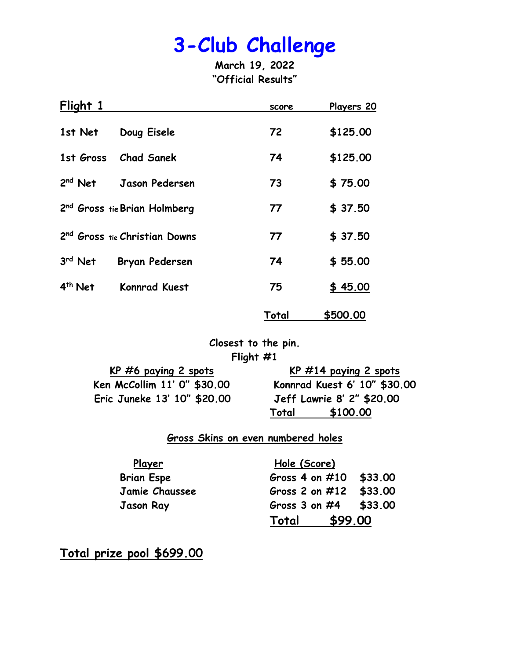**March 19, 2022 "Official Results"**

| Flight 1            |                                           | score | Players 20 |
|---------------------|-------------------------------------------|-------|------------|
| 1st Net             | Doug Eisele                               | 72    | \$125.00   |
| 1st Gross           | <b>Chad Sanek</b>                         | 74    | \$125.00   |
| $2nd$ Net           | Jason Pedersen                            | 73    | \$75.00    |
|                     | 2 <sup>nd</sup> Gross tie Brian Holmberg  | 77    | \$37.50    |
|                     | 2 <sup>nd</sup> Gross tie Christian Downs | 77    | \$37.50    |
| 3rd Net             | <b>Bryan Pedersen</b>                     | 74    | \$55.00    |
| 4 <sup>th</sup> Net | <b>Konnrad Kuest</b>                      | 75    | \$45.00    |
|                     |                                           | Total | \$500.00   |

**Closest to the pin. Flight #1**

| <u>KP #6 paying 2 spots</u> |     |
|-----------------------------|-----|
| Ken McCollim 11' 0" \$30.00 | Kor |
| Eric Juneke 13' 10" \$20.00 | Je  |

**KP #6 paying 2 spots KP #14 paying 2 spots Ken McCollim 11' 0" \$30.00 Konnrad Kuest 6' 10" \$30.00 Eric Juneke 13' 10" \$20.00 Jeff Lawrie 8' 2" \$20.00 Total \$100.00** 

#### **Gross Skins on even numbered holes**

| <u>Player</u>     | Hole (Score)              |  |
|-------------------|---------------------------|--|
| <b>Brian Espe</b> | Gross 4 on $\#10$ \$33.00 |  |
| Jamie Chaussee    | Gross 2 on #12 \$33.00    |  |
| <b>Jason Ray</b>  | Gross 3 on $#4$ \$33.00   |  |
|                   | \$99.00<br>Total          |  |

**Total prize pool \$699.00**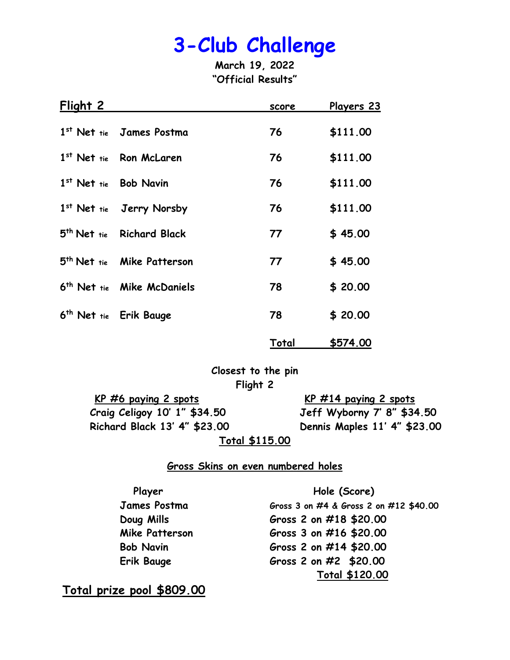**March 19, 2022 "Official Results"**

| Flight 2 |                                        | score | <u>Players 23</u> |
|----------|----------------------------------------|-------|-------------------|
|          | 1st Net tie James Postma               | 76    | \$111.00          |
|          | 1st Net tie Ron McLaren                | 76    | \$111.00          |
|          | 1st Net tie Bob Navin                  | 76    | \$111.00          |
|          | 1st Net tie Jerry Norsby               | 76    | \$111.00          |
|          | 5 <sup>th</sup> Net tie Richard Black  | 77    | \$45.00           |
|          | 5 <sup>th</sup> Net tie Mike Patterson | 77    | \$45.00           |
|          | 6 <sup>th</sup> Net tie Mike McDaniels | 78    | \$20.00           |
|          | 6 <sup>th</sup> Net tie Erik Bauge     | 78    | \$20.00           |
|          |                                        | Total | \$574.00          |

**Closest to the pin Flight 2**

**KP #6 paying 2 spots KP #14 paying 2 spots Craig Celigoy 10' 1" \$34.50 Jeff Wyborny 7' 8" \$34.50 Richard Black 13' 4" \$23.00 Dennis Maples 11' 4" \$23.00**

**Total \$115.00**

#### **Gross Skins on even numbered holes**

Player **Player** Hole (Score) **James Postma Gross 3 on #4 & Gross 2 on #12 \$40.00 Doug Mills Gross 2 on #18 \$20.00 Mike Patterson Gross 3 on #16 \$20.00 Bob Navin Gross 2 on #14 \$20.00 Erik Bauge Gross 2 on #2 \$20.00 Total \$120.00**

**Total prize pool \$809.00**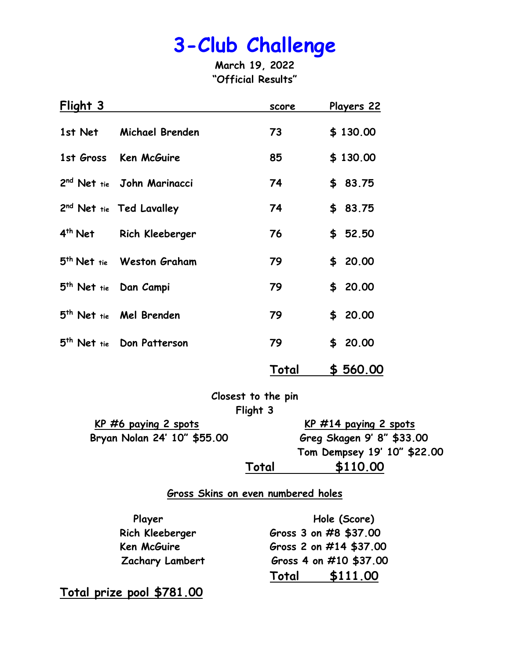**March 19, 2022 "Official Results"**

| Flight 3            |                                        | score | Players 22 |
|---------------------|----------------------------------------|-------|------------|
| 1st Net             | Michael Brenden                        | 73    | \$130.00   |
|                     | 1st Gross Ken McGuire                  | 85    | \$130.00   |
|                     | 2 <sup>nd</sup> Net tie John Marinacci | 74    | \$83.75    |
|                     | 2 <sup>nd</sup> Net tie Ted Lavalley   | 74    | \$83.75    |
| 4 <sup>th</sup> Net | Rich Kleeberger                        | 76    | \$52.50    |
|                     | 5 <sup>th</sup> Net tie Weston Graham  | 79    | \$20.00    |
|                     | 5 <sup>th</sup> Net tie Dan Campi      | 79    | \$20.00    |
|                     | 5 <sup>th</sup> Net tie Mel Brenden    | 79    | \$20.00    |
|                     | 5 <sup>th</sup> Net tie Don Patterson  | 79    | \$20.00    |
|                     |                                        | Total | \$560.00   |

**Closest to the pin Flight 3**

**KP #6 paying 2 spots KP #14 paying 2 spots Bryan Nolan 24' 10" \$55.00 Greg Skagen 9' 8" \$33.00**

**Tom Dempsey 19' 10" \$22.00 Total \$110.00**

**Gross Skins on even numbered holes**

| Player          | Hole (Score)           |  |
|-----------------|------------------------|--|
| Rich Kleeberger | Gross 3 on #8 \$37.00  |  |
| Ken McGuire     | Gross 2 on #14 \$37.00 |  |
| Zachary Lambert | Gross 4 on #10 \$37.00 |  |
|                 | \$111.00<br>Total      |  |

**Total prize pool \$781.00**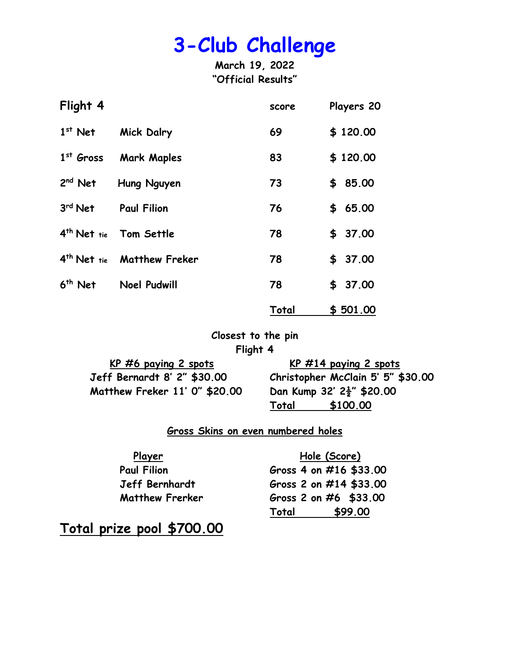**March 19, 2022 "Official Results"**

| Flight 4                |                       | score | Players 20 |
|-------------------------|-----------------------|-------|------------|
| $1st$ Net               | <b>Mick Dalry</b>     | 69    | \$120.00   |
| $1st$ Gross             | <b>Mark Maples</b>    | 83    | \$120.00   |
| $2nd$ Net               | Hung Nguyen           | 73    | \$85.00    |
| 3rd Net                 | <b>Paul Filion</b>    | 76    | \$65.00    |
| 4 <sup>th</sup> Net tie | Tom Settle            | 78    | \$37.00    |
| $4th$ Net tie           | <b>Matthew Freker</b> | 78    | \$37.00    |
| $6th$ Net               | <b>Noel Pudwill</b>   | 78    | \$37.00    |
|                         |                       | Total | \$501.00   |

**Closest to the pin Flight 4**

| $KP$ #6 paying 2 spots        |
|-------------------------------|
| Jeff Bernardt 8' 2" \$30.00   |
| Matthew Freker 11' 0" \$20.00 |

**KP #6 paying 2 spots KP #14 paying 2 spots Jeff Bernardt 8' 2" \$30.00 Christopher McClain 5' 5" \$30.00 Matthew Freker 11' 0" \$20.00 Dan Kump 32' 2½" \$20.00 Total \$100.00**

#### **Gross Skins on even numbered holes**

| <u>Player</u>          | Hole (Score)            |
|------------------------|-------------------------|
| <b>Paul Filion</b>     | Gross 4 on #16 \$33.00  |
| Jeff Bernhardt         | Gross 2 on #14 \$33.00  |
| <b>Matthew Frerker</b> | Gross 2 on $#6$ \$33.00 |
|                        | \$99.00<br>Total        |

**Total prize pool \$700.00**